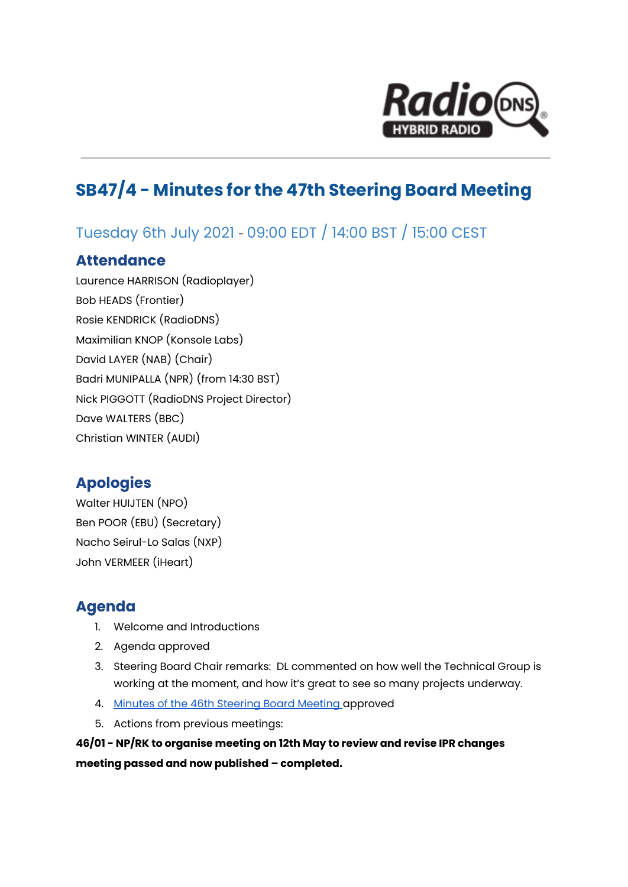

# **SB47/4 - Minutes for the 47th Steering Board Meeting**

# Tuesday 6th July 2021 - 09:00 EDT / 14:00 BST / 15:00 CEST

### **Attendance**

Laurence HARRISON (Radioplayer) Bob HEADS (Frontier) Rosie KENDRICK (RadioDNS) Maximilian KNOP (Konsole Labs) David LAYER (NAB) (Chair) Badri MUNIPALLA (NPR) (from 14:30 BST) Nick PIGGOTT (RadioDNS Project Director) Dave WALTERS (BBC) Christian WINTER (AUDI)

## **Apologies**

Walter HUIJTEN (NPO) Ben POOR (EBU) (Secretary) Nacho Seirul-Lo Salas (NXP) John VERMEER (iHeart)

### **Agenda**

- 1. Welcome and Introductions
- 2. Agenda approved
- 3. Steering Board Chair remarks: DL commented on how well the Technical Group is working at the moment, and how it's great to see so many projects underway.
- 4. Minutes of the 46th [Steering](https://drive.google.com/file/d/1x0r26AM7OyoyXuE0YkcNeocCwSfCP8xq/view?usp=sharing) Board Meeting approved
- 5. Actions from previous meetings:

**46/01 - NP/RK to organise meeting on 12th May to review and revise IPR changes meeting passed and now published – completed.**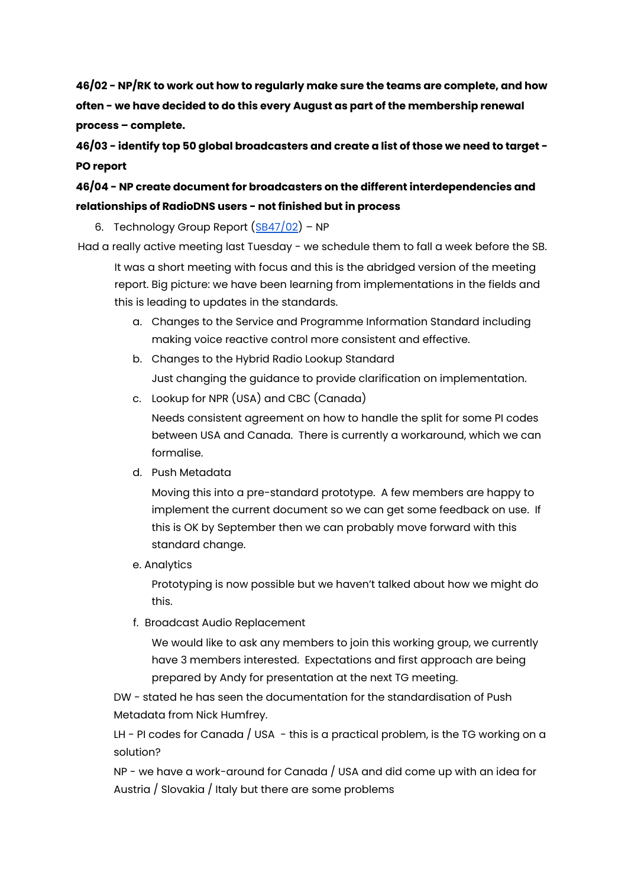**46/02 - NP/RK to work out how to regularly make sure the teams are complete, and how often - we have decided to do this every August as part of the membership renewal process – complete.**

**46/03 - identify top 50 global broadcasters and create a list of those we need to target - PO report**

### **46/04 - NP create document for broadcasters on the different interdependencies and relationships of RadioDNS users - not finished but in process**

6. Technology Group Report  $(SB47/02)$  $(SB47/02)$  $(SB47/02)$  – NP

Had a really active meeting last Tuesday - we schedule them to fall a week before the SB.

It was a short meeting with focus and this is the abridged version of the meeting report. Big picture: we have been learning from implementations in the fields and this is leading to updates in the standards.

- a. Changes to the Service and Programme Information Standard including making voice reactive control more consistent and effective.
- b. Changes to the Hybrid Radio Lookup Standard Just changing the guidance to provide clarification on implementation.
- c. Lookup for NPR (USA) and CBC (Canada)

Needs consistent agreement on how to handle the split for some PI codes between USA and Canada. There is currently a workaround, which we can formalise.

d. Push Metadata

Moving this into a pre-standard prototype. A few members are happy to implement the current document so we can get some feedback on use. If this is OK by September then we can probably move forward with this standard change.

e. Analytics

Prototyping is now possible but we haven't talked about how we might do this.

f. Broadcast Audio Replacement

We would like to ask any members to join this working group, we currently have 3 members interested. Expectations and first approach are being prepared by Andy for presentation at the next TG meeting.

DW - stated he has seen the documentation for the standardisation of Push Metadata from Nick Humfrey.

LH - PI codes for Canada  $/$  USA - this is a practical problem, is the TG working on a solution?

NP - we have a work-around for Canada / USA and did come up with an idea for Austria / Slovakia / Italy but there are some problems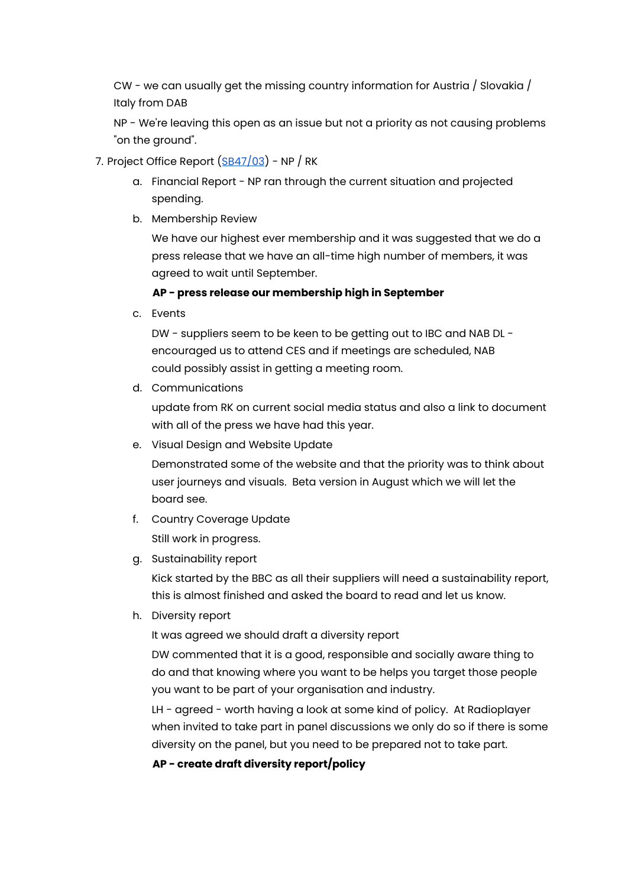CW - we can usually get the missing country information for Austria / Slovakia / Italy from DAB

NP - We're leaving this open as an issue but not a priority as not causing problems "on the ground".

- 7. Project Office Report  $(SB47/03)$  $(SB47/03)$  $(SB47/03)$  NP / RK
	- a. Financial Report NP ran through the current situation and projected spending.
	- b. Membership Review

We have our highest ever membership and it was suggested that we do a press release that we have an all-time high number of members, it was agreed to wait until September.

#### **AP - press release our membership high in September**

c. Events

DW - suppliers seem to be keen to be getting out to IBC and NAB DL encouraged us to attend CES and if meetings are scheduled, NAB could possibly assist in getting a meeting room.

d. Communications

update from RK on current social media status and also a link to document with all of the press we have had this year.

e. Visual Design and Website Update

Demonstrated some of the website and that the priority was to think about user journeys and visuals. Beta version in August which we will let the board see.

- f. Country Coverage Update Still work in progress.
- g. Sustainability report

Kick started by the BBC as all their suppliers will need a sustainability report, this is almost finished and asked the board to read and let us know.

h. Diversity report

It was agreed we should draft a diversity report

DW commented that it is a good, responsible and socially aware thing to do and that knowing where you want to be helps you target those people you want to be part of your organisation and industry.

LH - agreed - worth having a look at some kind of policy. At Radioplayer when invited to take part in panel discussions we only do so if there is some diversity on the panel, but you need to be prepared not to take part.

#### **AP - create draft diversity report/policy**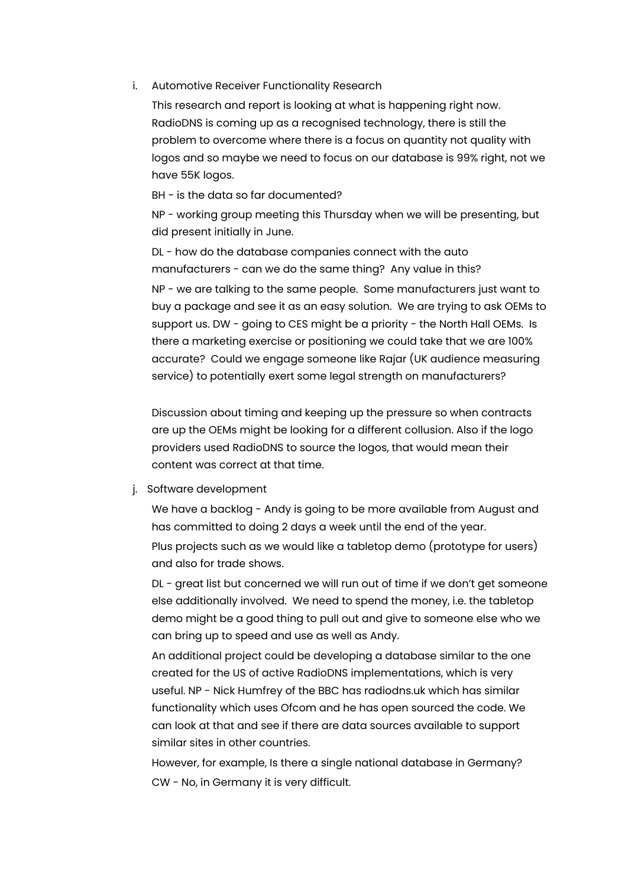#### i. Automotive Receiver Functionality Research

This research and report is looking at what is happening right now. RadioDNS is coming up as a recognised technology, there is still the problem to overcome where there is a focus on quantity not quality with logos and so maybe we need to focus on our database is 99% right, not we have 55K logos.

BH - is the data so far documented?

NP - working group meeting this Thursday when we will be presenting, but did present initially in June.

DL - how do the database companies connect with the auto manufacturers - can we do the same thing? Any value in this? NP - we are talking to the same people. Some manufacturers just want to buy a package and see it as an easy solution. We are trying to ask OEMs to support us. DW - going to CES might be a priority - the North Hall OEMs. Is there a marketing exercise or positioning we could take that we are 100% accurate? Could we engage someone like Rajar (UK audience measuring service) to potentially exert some legal strength on manufacturers?

Discussion about timing and keeping up the pressure so when contracts are up the OEMs might be looking for a different collusion. Also if the logo providers used RadioDNS to source the logos, that would mean their content was correct at that time.

#### j. Software development

We have a backlog - Andy is going to be more available from August and has committed to doing 2 days a week until the end of the year. Plus projects such as we would like a tabletop demo (prototype for users) and also for trade shows.

DL - great list but concerned we will run out of time if we don't get someone else additionally involved. We need to spend the money, i.e. the tabletop demo might be a good thing to pull out and give to someone else who we can bring up to speed and use as well as Andy.

An additional project could be developing a database similar to the one created for the US of active RadioDNS implementations, which is very useful. NP - Nick Humfrey of the BBC has radiodns.uk which has similar functionality which uses Ofcom and he has open sourced the code. We can look at that and see if there are data sources available to support similar sites in other countries.

However, for example, Is there a single national database in Germany? CW - No, in Germany it is very difficult.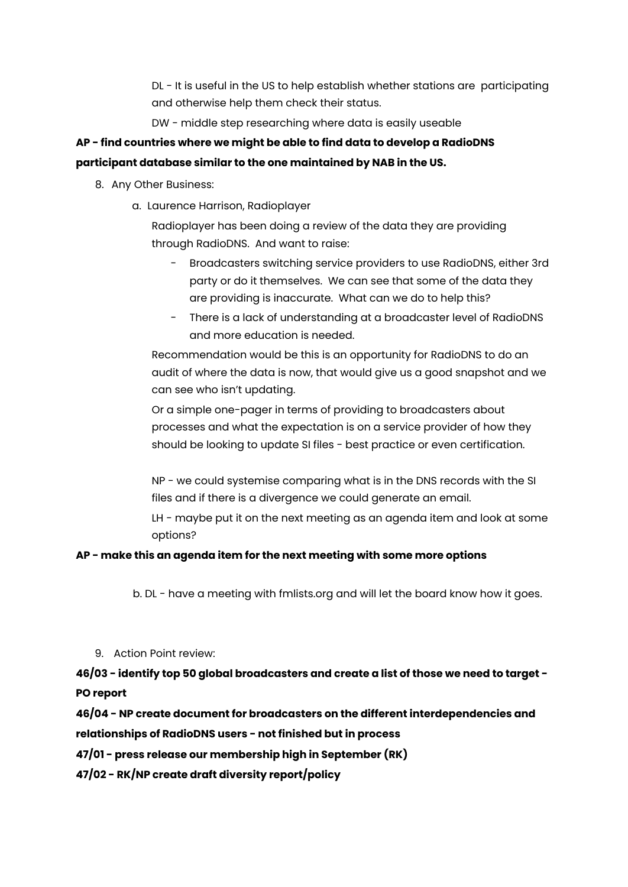DL - It is useful in the US to help establish whether stations are participating and otherwise help them check their status.

DW - middle step researching where data is easily useable

## **AP - find countries where we might be able to find data to develop a RadioDNS**

#### **participant database similar to the one maintained by NAB in the US.**

- 8. Any Other Business:
	- a. Laurence Harrison, Radioplayer

Radioplayer has been doing a review of the data they are providing through RadioDNS. And want to raise:

- Broadcasters switching service providers to use RadioDNS, either 3rd party or do it themselves. We can see that some of the data they are providing is inaccurate. What can we do to help this?
- There is a lack of understanding at a broadcaster level of RadioDNS and more education is needed.

Recommendation would be this is an opportunity for RadioDNS to do an audit of where the data is now, that would give us a good snapshot and we can see who isn't updating.

Or a simple one-pager in terms of providing to broadcasters about processes and what the expectation is on a service provider of how they should be looking to update SI files - best practice or even certification.

NP - we could systemise comparing what is in the DNS records with the SI files and if there is a divergence we could generate an email.

LH - maybe put it on the next meeting as an agenda item and look at some options?

#### **AP - make this an agenda item for the next meeting with some more options**

b. DL - have a meeting with fmlists.org and will let the board know how it goes.

9. Action Point review:

**46/03 - identify top 50 global broadcasters and create a list of those we need to target - PO report**

**46/04 - NP create document for broadcasters on the different interdependencies and relationships of RadioDNS users - not finished but in process**

**47/01 - press release our membership high in September (RK)**

**47/02 - RK/NP create draft diversity report/policy**